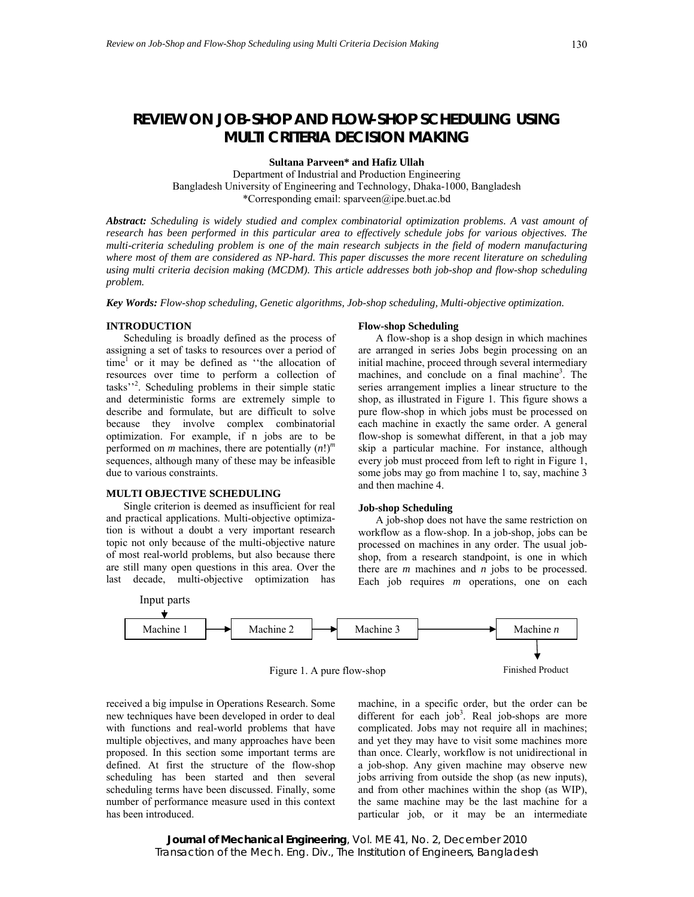# **REVIEW ON JOB-SHOP AND FLOW-SHOP SCHEDULING USING MULTI CRITERIA DECISION MAKING**

**Sultana Parveen\* and Hafiz Ullah**

Department of Industrial and Production Engineering Bangladesh University of Engineering and Technology, Dhaka-1000, Bangladesh \*Corresponding email: sparveen@ipe.buet.ac.bd

*Abstract: Scheduling is widely studied and complex combinatorial optimization problems. A vast amount of research has been performed in this particular area to effectively schedule jobs for various objectives. The multi-criteria scheduling problem is one of the main research subjects in the field of modern manufacturing where most of them are considered as NP-hard. This paper discusses the more recent literature on scheduling using multi criteria decision making (MCDM). This article addresses both job-shop and flow-shop scheduling problem.* 

*Key Words: Flow-shop scheduling, Genetic algorithms, Job-shop scheduling, Multi-objective optimization.* 

## **INTRODUCTION**

Scheduling is broadly defined as the process of assigning a set of tasks to resources over a period of  $time<sup>1</sup>$  or it may be defined as "the allocation of resources over time to perform a collection of tasks"<sup>2</sup>. Scheduling problems in their simple static and deterministic forms are extremely simple to describe and formulate, but are difficult to solve because they involve complex combinatorial optimization. For example, if n jobs are to be performed on *m* machines, there are potentially (*n*!)*<sup>m</sup>* sequences, although many of these may be infeasible due to various constraints.

# **MULTI OBJECTIVE SCHEDULING**

Single criterion is deemed as insufficient for real and practical applications. Multi-objective optimization is without a doubt a very important research topic not only because of the multi-objective nature of most real-world problems, but also because there are still many open questions in this area. Over the last decade, multi-objective optimization has

#### **Flow-shop Scheduling**

A flow-shop is a shop design in which machines are arranged in series Jobs begin processing on an initial machine, proceed through several intermediary machines, and conclude on a final machine<sup>3</sup>. The series arrangement implies a linear structure to the shop, as illustrated in Figure 1. This figure shows a pure flow-shop in which jobs must be processed on each machine in exactly the same order. A general flow-shop is somewhat different, in that a job may skip a particular machine. For instance, although every job must proceed from left to right in Figure 1, some jobs may go from machine 1 to, say, machine 3 and then machine 4.

#### **Job-shop Scheduling**

A job-shop does not have the same restriction on workflow as a flow-shop. In a job-shop, jobs can be processed on machines in any order. The usual jobshop, from a research standpoint, is one in which there are *m* machines and *n* jobs to be processed. Each job requires *m* operations, one on each



Figure 1. A pure flow-shop

Finished Product

received a big impulse in Operations Research. Some new techniques have been developed in order to deal with functions and real-world problems that have multiple objectives, and many approaches have been proposed. In this section some important terms are defined. At first the structure of the flow-shop scheduling has been started and then several scheduling terms have been discussed. Finally, some number of performance measure used in this context has been introduced.

machine, in a specific order, but the order can be different for each job<sup>3</sup>. Real job-shops are more complicated. Jobs may not require all in machines; and yet they may have to visit some machines more than once. Clearly, workflow is not unidirectional in a job-shop. Any given machine may observe new jobs arriving from outside the shop (as new inputs), and from other machines within the shop (as WIP), the same machine may be the last machine for a particular job, or it may be an intermediate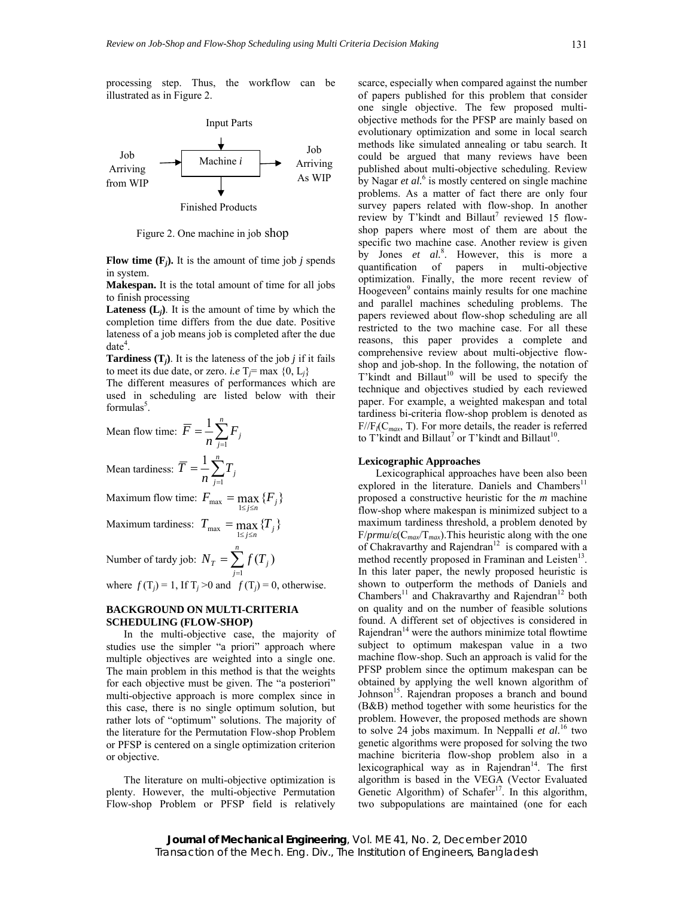processing step. Thus, the workflow can be illustrated as in Figure 2.



Figure 2. One machine in job shop

**Flow time**  $(F_i)$ . It is the amount of time job *j* spends in system.

**Makespan.** It is the total amount of time for all jobs to finish processing

**Lateness**  $(L_i)$ . It is the amount of time by which the completion time differs from the due date. Positive lateness of a job means job is completed after the due  $date^4$ .

**Tardiness**  $(T_i)$ . It is the lateness of the job *j* if it fails to meet its due date, or zero. *i.e*  $T_f$ = max  $\{0, L_i\}$ 

The different measures of performances which are used in scheduling are listed below with their formulas<sup>5</sup>.

Mean flow time: 
$$
\overline{F} = \frac{1}{n} \sum_{j=1}^{n} F_j
$$
  
\nMean tardiness:  $\overline{T} = \frac{1}{n} \sum_{j=1}^{n} T_j$   
\nMaximum flow time:  $F_{\text{max}} = \max_{1 \le j \le n} \{F_j\}$   
\nMaximum tardiness:  $T_{\text{max}} = \max_{1 \le j \le n} \{T_j\}$ 

Number of tardy job:  $N_T = \sum_{j=1}^T$ *j*  $N_T = \sum f(T_j)$ 1  $(T_i)$ 

where  $f(T_i) = 1$ , If  $T_i > 0$  and  $f(T_i) = 0$ , otherwise.

# **BACKGROUND ON MULTI-CRITERIA SCHEDULING (FLOW-SHOP)**

In the multi-objective case, the majority of studies use the simpler "a priori" approach where multiple objectives are weighted into a single one. The main problem in this method is that the weights for each objective must be given. The "a posteriori" multi-objective approach is more complex since in this case, there is no single optimum solution, but rather lots of "optimum" solutions. The majority of the literature for the Permutation Flow-shop Problem or PFSP is centered on a single optimization criterion or objective.

The literature on multi-objective optimization is plenty. However, the multi-objective Permutation Flow-shop Problem or PFSP field is relatively scarce, especially when compared against the number of papers published for this problem that consider one single objective. The few proposed multiobjective methods for the PFSP are mainly based on evolutionary optimization and some in local search methods like simulated annealing or tabu search. It could be argued that many reviews have been published about multi-objective scheduling. Review by Nagar *et al.*<sup>6</sup> is mostly centered on single machine problems. As a matter of fact there are only four survey papers related with flow-shop. In another review by T'kindt and Billaut<sup>7</sup> reviewed 15 flowshop papers where most of them are about the specific two machine case. Another review is given by Jones *et al.*<sup>8</sup> . However, this is more a quantification of papers in multi-objective optimization. Finally, the more recent review of Hoogeveen<sup>9</sup> contains mainly results for one machine and parallel machines scheduling problems. The papers reviewed about flow-shop scheduling are all restricted to the two machine case. For all these reasons, this paper provides a complete and comprehensive review about multi-objective flowshop and job-shop. In the following, the notation of T'kindt and Billaut<sup>10</sup> will be used to specify the technique and objectives studied by each reviewed paper. For example, a weighted makespan and total tardiness bi-criteria flow-shop problem is denoted as F//F*l*(C*max*, T). For more details, the reader is referred to T'kindt and Billaut<sup>7</sup> or T'kindt and Billaut<sup>10</sup>.

# **Lexicographic Approaches**

Lexicographical approaches have been also been explored in the literature. Daniels and Chambers<sup>11</sup> proposed a constructive heuristic for the *m* machine flow-shop where makespan is minimized subject to a maximum tardiness threshold, a problem denoted by F/*prmu*/ε(C*max*/T*max*).This heuristic along with the one of Chakravarthy and Rajendran<sup>12</sup> is compared with a method recently proposed in Framinan and Leisten<sup>13</sup>. In this later paper, the newly proposed heuristic is shown to outperform the methods of Daniels and  $Chambers<sup>11</sup>$  and Chakravarthy and Rajendran<sup>12</sup> both on quality and on the number of feasible solutions found. A different set of objectives is considered in Rajendran $14$  were the authors minimize total flowtime subject to optimum makespan value in a two machine flow-shop. Such an approach is valid for the PFSP problem since the optimum makespan can be obtained by applying the well known algorithm of Johnson<sup>15</sup>. Rajendran proposes a branch and bound (B&B) method together with some heuristics for the problem. However, the proposed methods are shown to solve 24 jobs maximum. In Neppalli *et al.*16 two genetic algorithms were proposed for solving the two machine bicriteria flow-shop problem also in a lexicographical way as in  $Rajendran<sup>14</sup>$ . The first algorithm is based in the VEGA (Vector Evaluated Genetic Algorithm) of Schafer<sup>17</sup>. In this algorithm, two subpopulations are maintained (one for each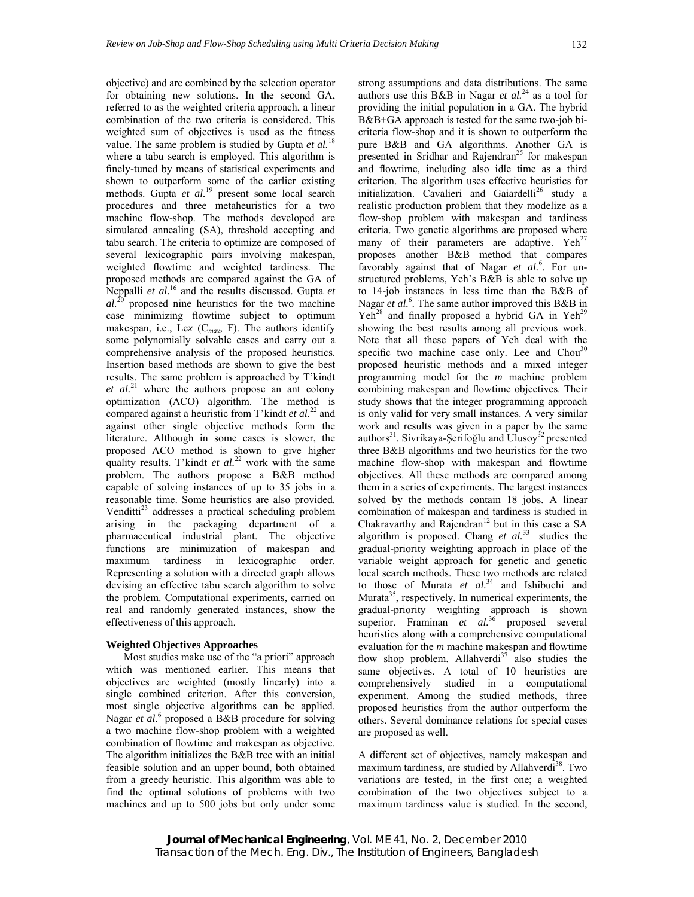objective) and are combined by the selection operator for obtaining new solutions. In the second GA, referred to as the weighted criteria approach, a linear combination of the two criteria is considered. This weighted sum of objectives is used as the fitness value. The same problem is studied by Gupta *et al.*<sup>1</sup> where a tabu search is employed. This algorithm is finely-tuned by means of statistical experiments and shown to outperform some of the earlier existing methods. Gupta *et al.*19 present some local search procedures and three metaheuristics for a two machine flow-shop. The methods developed are simulated annealing (SA), threshold accepting and tabu search. The criteria to optimize are composed of several lexicographic pairs involving makespan, weighted flowtime and weighted tardiness. The proposed methods are compared against the GA of Neppalli *et al.*16 and the results discussed. Gupta *et al.*20 proposed nine heuristics for the two machine case minimizing flowtime subject to optimum makespan, i.e., Le*x* (C*max*, F). The authors identify some polynomially solvable cases and carry out a comprehensive analysis of the proposed heuristics. Insertion based methods are shown to give the best results. The same problem is approached by T'kindt *et al.*21 where the authors propose an ant colony optimization (ACO) algorithm. The method is compared against a heuristic from T'kindt *et al.*22 and against other single objective methods form the literature. Although in some cases is slower, the proposed ACO method is shown to give higher quality results. T'kindt *et al.*<sup>22</sup> work with the same problem. The authors propose a B&B method capable of solving instances of up to 35 jobs in a reasonable time. Some heuristics are also provided. Venditti<sup>23</sup> addresses a practical scheduling problem arising in the packaging department of a pharmaceutical industrial plant. The objective functions are minimization of makespan and maximum tardiness in lexicographic order. Representing a solution with a directed graph allows devising an effective tabu search algorithm to solve the problem. Computational experiments, carried on real and randomly generated instances, show the effectiveness of this approach.

#### **Weighted Objectives Approaches**

Most studies make use of the "a priori" approach which was mentioned earlier. This means that objectives are weighted (mostly linearly) into a single combined criterion. After this conversion, most single objective algorithms can be applied. Nagar *et al.*<sup>6</sup> proposed a B&B procedure for solving a two machine flow-shop problem with a weighted combination of flowtime and makespan as objective. The algorithm initializes the B&B tree with an initial feasible solution and an upper bound, both obtained from a greedy heuristic. This algorithm was able to find the optimal solutions of problems with two machines and up to 500 jobs but only under some

strong assumptions and data distributions. The same authors use this B&B in Nagar *et al.*<sup>24</sup> as a tool for providing the initial population in a GA. The hybrid B&B+GA approach is tested for the same two-job bicriteria flow-shop and it is shown to outperform the pure B&B and GA algorithms. Another GA is presented in Sridhar and Rajendran<sup>25</sup> for makespan and flowtime, including also idle time as a third criterion. The algorithm uses effective heuristics for initialization. Cavalieri and Gaiardelli<sup>26</sup> study a realistic production problem that they modelize as a flow-shop problem with makespan and tardiness criteria. Two genetic algorithms are proposed where many of their parameters are adaptive.  $Yeh^{27}$ proposes another B&B method that compares favorably against that of Nagar et al.<sup>6</sup>. For unstructured problems, Yeh's B&B is able to solve up to 14-job instances in less time than the B&B of Nagar *et al.*<sup>6</sup>. The same author improved this B&B in  $Yeh^{28}$  and finally proposed a hybrid GA in  $Yeh^{29}$ showing the best results among all previous work. Note that all these papers of Yeh deal with the specific two machine case only. Lee and Chou<sup>30</sup> proposed heuristic methods and a mixed integer programming model for the *m* machine problem combining makespan and flowtime objectives. Their study shows that the integer programming approach is only valid for very small instances. A very similar work and results was given in a paper by the same authors<sup>31</sup>. Sivrikaya-Şerifoğlu and Ulusoy<sup>32</sup> presented three B&B algorithms and two heuristics for the two machine flow-shop with makespan and flowtime objectives. All these methods are compared among them in a series of experiments. The largest instances solved by the methods contain 18 jobs. A linear combination of makespan and tardiness is studied in Chakravarthy and Rajendran $12$  but in this case a SA algorithm is proposed. Chang *et al.*33 studies the gradual-priority weighting approach in place of the variable weight approach for genetic and genetic local search methods. These two methods are related to those of Murata *et al.*34 and Ishibuchi and Murata<sup>35</sup>, respectively. In numerical experiments, the gradual-priority weighting approach is shown superior. Framinan *et al.*<sup>36</sup> proposed several heuristics along with a comprehensive computational evaluation for the *m* machine makespan and flowtime flow shop problem. Allahverdi $37$  also studies the same objectives. A total of 10 heuristics are comprehensively studied in a computational experiment. Among the studied methods, three proposed heuristics from the author outperform the others. Several dominance relations for special cases are proposed as well.

A different set of objectives, namely makespan and maximum tardiness, are studied by Allahverdi<sup>38</sup>. Two variations are tested, in the first one; a weighted combination of the two objectives subject to a maximum tardiness value is studied. In the second,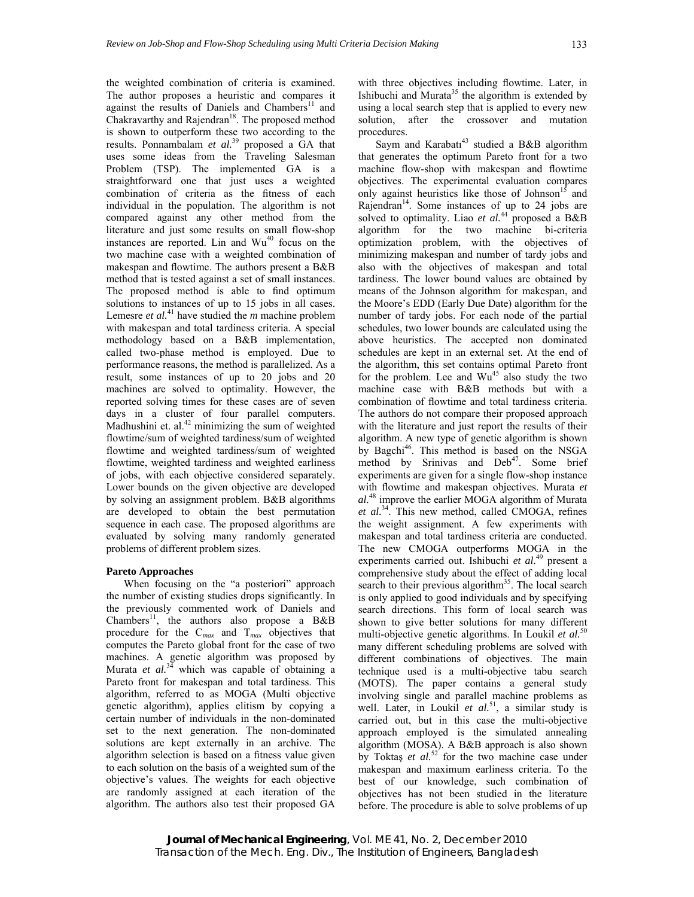the weighted combination of criteria is examined. The author proposes a heuristic and compares it against the results of Daniels and Chambers<sup>11</sup> and Chakravarthy and Rajendran<sup>18</sup>. The proposed method is shown to outperform these two according to the results. Ponnambalam *et al.*39 proposed a GA that uses some ideas from the Traveling Salesman Problem (TSP). The implemented GA is a straightforward one that just uses a weighted combination of criteria as the fitness of each individual in the population. The algorithm is not compared against any other method from the literature and just some results on small flow-shop instances are reported. Lin and  $Wu^{40}$  focus on the two machine case with a weighted combination of makespan and flowtime. The authors present a B&B method that is tested against a set of small instances. The proposed method is able to find optimum solutions to instances of up to 15 jobs in all cases. Lemesre *et al.*41 have studied the *m* machine problem with makespan and total tardiness criteria. A special methodology based on a B&B implementation, called two-phase method is employed. Due to performance reasons, the method is parallelized. As a result, some instances of up to 20 jobs and 20 machines are solved to optimality. However, the reported solving times for these cases are of seven days in a cluster of four parallel computers. Madhushini et. al. $42$  minimizing the sum of weighted flowtime/sum of weighted tardiness/sum of weighted flowtime and weighted tardiness/sum of weighted flowtime, weighted tardiness and weighted earliness of jobs, with each objective considered separately. Lower bounds on the given objective are developed by solving an assignment problem. B&B algorithms are developed to obtain the best permutation sequence in each case. The proposed algorithms are evaluated by solving many randomly generated problems of different problem sizes.

## **Pareto Approaches**

When focusing on the "a posteriori" approach the number of existing studies drops significantly. In the previously commented work of Daniels and Chambers<sup>11</sup>, the authors also propose a B&B procedure for the C*max* and T*max* objectives that computes the Pareto global front for the case of two machines. A genetic algorithm was proposed by Murata *et al.*<sup>34</sup> which was capable of obtaining a Pareto front for makespan and total tardiness. This algorithm, referred to as MOGA (Multi objective genetic algorithm), applies elitism by copying a certain number of individuals in the non-dominated set to the next generation. The non-dominated solutions are kept externally in an archive. The algorithm selection is based on a fitness value given to each solution on the basis of a weighted sum of the objective's values. The weights for each objective are randomly assigned at each iteration of the algorithm. The authors also test their proposed GA with three objectives including flowtime. Later, in Ishibuchi and Murata<sup>35</sup> the algorithm is extended by using a local search step that is applied to every new solution, after the crossover and mutation procedures.

Saym and Karabatı<sup>43</sup> studied a B&B algorithm that generates the optimum Pareto front for a two machine flow-shop with makespan and flowtime objectives. The experimental evaluation compares only against heuristics like those of Johnson<sup>15</sup> and Rajendran<sup>14</sup>. Some instances of up to 24 jobs are solved to optimality. Liao *et al.*<sup>44</sup> proposed a B&B algorithm for the two machine bi-criteria optimization problem, with the objectives of minimizing makespan and number of tardy jobs and also with the objectives of makespan and total tardiness. The lower bound values are obtained by means of the Johnson algorithm for makespan, and the Moore's EDD (Early Due Date) algorithm for the number of tardy jobs. For each node of the partial schedules, two lower bounds are calculated using the above heuristics. The accepted non dominated schedules are kept in an external set. At the end of the algorithm, this set contains optimal Pareto front for the problem. Lee and Wu<sup>45</sup> also study the two machine case with B&B methods but with a combination of flowtime and total tardiness criteria. The authors do not compare their proposed approach with the literature and just report the results of their algorithm. A new type of genetic algorithm is shown by Bagchi<sup>46</sup>. This method is based on the NSGA method by Srinivas and Deb<sup>47</sup>. Some brief experiments are given for a single flow-shop instance with flowtime and makespan objectives. Murata *et al.*48 improve the earlier MOGA algorithm of Murata *et al.*34. This new method, called CMOGA, refines the weight assignment. A few experiments with makespan and total tardiness criteria are conducted. The new CMOGA outperforms MOGA in the experiments carried out. Ishibuchi *et al.*49 present a comprehensive study about the effect of adding local search to their previous algorithm<sup>35</sup>. The local search is only applied to good individuals and by specifying search directions. This form of local search was shown to give better solutions for many different multi-objective genetic algorithms. In Loukil *et al.*<sup>50</sup> many different scheduling problems are solved with different combinations of objectives. The main technique used is a multi-objective tabu search (MOTS). The paper contains a general study involving single and parallel machine problems as well. Later, in Loukil *et al.*<sup>51</sup>, a similar study is carried out, but in this case the multi-objective approach employed is the simulated annealing algorithm (MOSA). A B&B approach is also shown by Toktas *et al.*<sup>52</sup> for the two machine case under makespan and maximum earliness criteria. To the best of our knowledge, such combination of objectives has not been studied in the literature before. The procedure is able to solve problems of up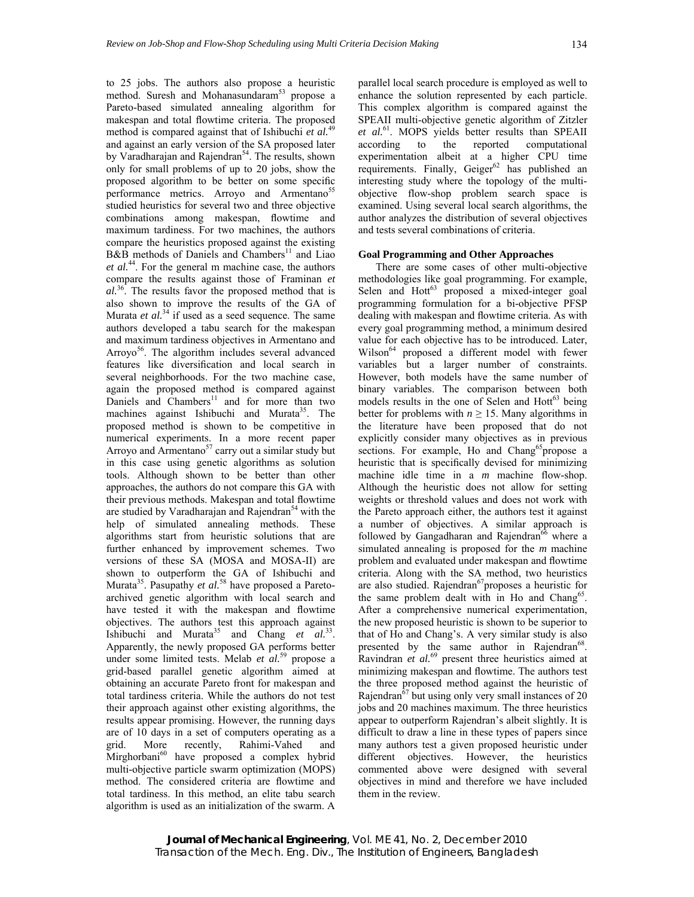to 25 jobs. The authors also propose a heuristic method. Suresh and Mohanasundaram<sup>53</sup> propose a Pareto-based simulated annealing algorithm for makespan and total flowtime criteria. The proposed method is compared against that of Ishibuchi *et al.*<sup>49</sup> and against an early version of the SA proposed later by Varadharajan and Rajendran<sup>54</sup>. The results, shown only for small problems of up to 20 jobs, show the proposed algorithm to be better on some specific performance metrics. Arroyo and Armentano<sup>55</sup> studied heuristics for several two and three objective combinations among makespan, flowtime and maximum tardiness. For two machines, the authors compare the heuristics proposed against the existing B&B methods of Daniels and Chambers<sup>11</sup> and Liao *et al.*44. For the general m machine case, the authors compare the results against those of Framinan *et al.*36. The results favor the proposed method that is also shown to improve the results of the GA of Murata *et al.*<sup>34</sup> if used as a seed sequence. The same authors developed a tabu search for the makespan and maximum tardiness objectives in Armentano and  $Arroyo<sup>56</sup>$ . The algorithm includes several advanced features like diversification and local search in several neighborhoods. For the two machine case, again the proposed method is compared against Daniels and  $\text{Chambers}^{11}$  and for more than two machines against Ishibuchi and Murata<sup>35</sup>. The proposed method is shown to be competitive in numerical experiments. In a more recent paper Arroyo and Armentano<sup>57</sup> carry out a similar study but in this case using genetic algorithms as solution tools. Although shown to be better than other approaches, the authors do not compare this GA with their previous methods. Makespan and total flowtime are studied by Varadharajan and Rajendran<sup>54</sup> with the help of simulated annealing methods. These algorithms start from heuristic solutions that are further enhanced by improvement schemes. Two versions of these SA (MOSA and MOSA-II) are shown to outperform the GA of Ishibuchi and Murata<sup>35</sup>. Pasupathy *et al.*<sup>58</sup> have proposed a Paretoarchived genetic algorithm with local search and have tested it with the makespan and flowtime objectives. The authors test this approach against Ishibuchi and Murata<sup>35</sup> and Chang *et al.*<sup>33</sup>. Apparently, the newly proposed GA performs better under some limited tests. Melab *et al.*59 propose a grid-based parallel genetic algorithm aimed at obtaining an accurate Pareto front for makespan and total tardiness criteria. While the authors do not test their approach against other existing algorithms, the results appear promising. However, the running days are of 10 days in a set of computers operating as a grid. More recently, Rahimi-Vahed and Mirghorbani<sup>60</sup> have proposed a complex hybrid multi-objective particle swarm optimization (MOPS) method. The considered criteria are flowtime and total tardiness. In this method, an elite tabu search algorithm is used as an initialization of the swarm. A

parallel local search procedure is employed as well to enhance the solution represented by each particle. This complex algorithm is compared against the SPEAII multi-objective genetic algorithm of Zitzler *et al.*61. MOPS yields better results than SPEAII according to the reported computational experimentation albeit at a higher CPU time requirements. Finally, Geiger $62$  has published an interesting study where the topology of the multiobjective flow-shop problem search space is examined. Using several local search algorithms, the author analyzes the distribution of several objectives and tests several combinations of criteria.

# **Goal Programming and Other Approaches**

There are some cases of other multi-objective methodologies like goal programming. For example, Selen and Hott<sup>63</sup> proposed a mixed-integer goal programming formulation for a bi-objective PFSP dealing with makespan and flowtime criteria. As with every goal programming method, a minimum desired value for each objective has to be introduced. Later, Wilson<sup>64</sup> proposed a different model with fewer variables but a larger number of constraints. However, both models have the same number of binary variables. The comparison between both models results in the one of Selen and  $Hott<sup>63</sup>$  being better for problems with  $n \ge 15$ . Many algorithms in the literature have been proposed that do not explicitly consider many objectives as in previous sections. For example, Ho and Chang<sup>65</sup>propose a heuristic that is specifically devised for minimizing machine idle time in a *m* machine flow-shop. Although the heuristic does not allow for setting weights or threshold values and does not work with the Pareto approach either, the authors test it against a number of objectives. A similar approach is followed by Gangadharan and Rajendran<sup>66</sup> where a simulated annealing is proposed for the *m* machine problem and evaluated under makespan and flowtime criteria. Along with the SA method, two heuristics are also studied. Rajendran<sup>67</sup>proposes a heuristic for the same problem dealt with in Ho and Chang<sup>65</sup>. After a comprehensive numerical experimentation, the new proposed heuristic is shown to be superior to that of Ho and Chang's. A very similar study is also presented by the same author in Rajendran<sup>68</sup>. Ravindran *et al.*69 present three heuristics aimed at minimizing makespan and flowtime. The authors test the three proposed method against the heuristic of Rajendran<sup>67</sup> but using only very small instances of 20 jobs and 20 machines maximum. The three heuristics appear to outperform Rajendran's albeit slightly. It is difficult to draw a line in these types of papers since many authors test a given proposed heuristic under different objectives. However, the heuristics commented above were designed with several objectives in mind and therefore we have included them in the review.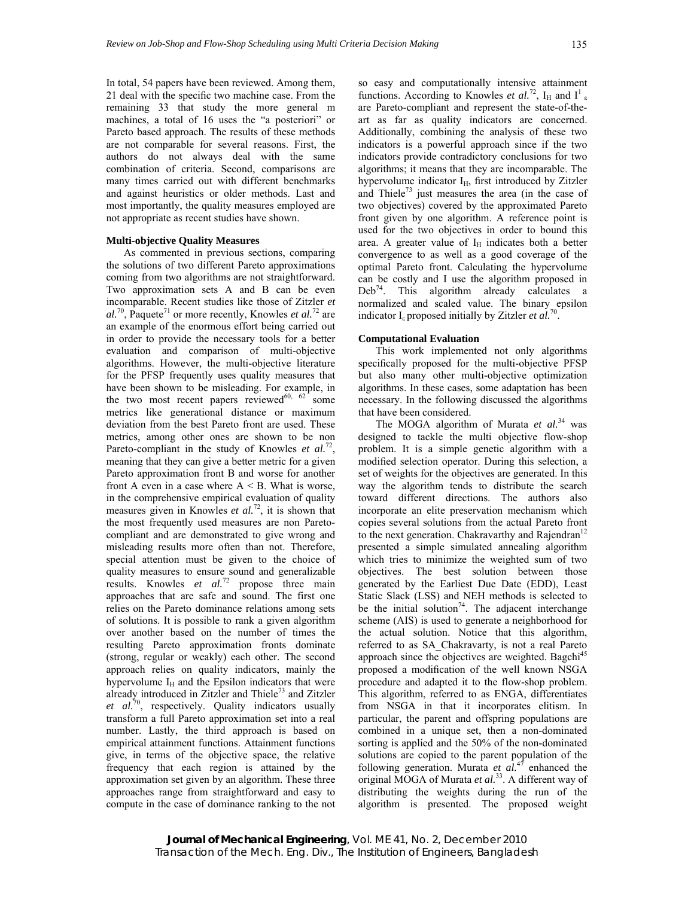In total, 54 papers have been reviewed. Among them, 21 deal with the specific two machine case. From the remaining 33 that study the more general m machines, a total of 16 uses the "a posteriori" or Pareto based approach. The results of these methods are not comparable for several reasons. First, the authors do not always deal with the same combination of criteria. Second, comparisons are many times carried out with different benchmarks and against heuristics or older methods. Last and most importantly, the quality measures employed are not appropriate as recent studies have shown.

## **Multi-objective Quality Measures**

As commented in previous sections, comparing the solutions of two different Pareto approximations coming from two algorithms are not straightforward. Two approximation sets A and B can be even incomparable. Recent studies like those of Zitzler *et*   $al.^{70}$ , Paquete<sup>71</sup> or more recently, Knowles *et al.*<sup>72</sup> are an example of the enormous effort being carried out in order to provide the necessary tools for a better evaluation and comparison of multi-objective algorithms. However, the multi-objective literature for the PFSP frequently uses quality measures that have been shown to be misleading. For example, in the two most recent papers reviewed $^{60, 62}$  some metrics like generational distance or maximum deviation from the best Pareto front are used. These metrics, among other ones are shown to be non Pareto-compliant in the study of Knowles et al.<sup>72</sup>, meaning that they can give a better metric for a given Pareto approximation front B and worse for another front A even in a case where  $A \leq B$ . What is worse, in the comprehensive empirical evaluation of quality measures given in Knowles *et al.*72, it is shown that the most frequently used measures are non Paretocompliant and are demonstrated to give wrong and misleading results more often than not. Therefore, special attention must be given to the choice of quality measures to ensure sound and generalizable results. Knowles *et al.*72 propose three main approaches that are safe and sound. The first one relies on the Pareto dominance relations among sets of solutions. It is possible to rank a given algorithm over another based on the number of times the resulting Pareto approximation fronts dominate (strong, regular or weakly) each other. The second approach relies on quality indicators, mainly the hypervolume  $I_H$  and the Epsilon indicators that were already introduced in Zitzler and Thiele<sup>73</sup> and Zitzler *et al.*70, respectively. Quality indicators usually transform a full Pareto approximation set into a real number. Lastly, the third approach is based on empirical attainment functions. Attainment functions give, in terms of the objective space, the relative frequency that each region is attained by the approximation set given by an algorithm. These three approaches range from straightforward and easy to compute in the case of dominance ranking to the not so easy and computationally intensive attainment functions. According to Knowles *et al.*<sup>72</sup>, I<sub>H</sub> and I<sup>1</sup><sub>ε</sub> are Pareto-compliant and represent the state-of-theart as far as quality indicators are concerned. Additionally, combining the analysis of these two indicators is a powerful approach since if the two indicators provide contradictory conclusions for two algorithms; it means that they are incomparable. The hypervolume indicator  $I_H$ , first introduced by Zitzler and Thiele<sup>73</sup> just measures the area (in the case of two objectives) covered by the approximated Pareto front given by one algorithm. A reference point is used for the two objectives in order to bound this area. A greater value of  $I_H$  indicates both a better convergence to as well as a good coverage of the optimal Pareto front. Calculating the hypervolume can be costly and I use the algorithm proposed in  $Deb<sup>74</sup>$ . This algorithm already calculates a normalized and scaled value. The binary epsilon indicator  $I_{\varepsilon}$  proposed initially by Zitzler *et al.*<sup>70</sup>.

#### **Computational Evaluation**

This work implemented not only algorithms specifically proposed for the multi-objective PFSP but also many other multi-objective optimization algorithms. In these cases, some adaptation has been necessary. In the following discussed the algorithms that have been considered.

The MOGA algorithm of Murata *et al.*34 was designed to tackle the multi objective flow-shop problem. It is a simple genetic algorithm with a modified selection operator. During this selection, a set of weights for the objectives are generated. In this way the algorithm tends to distribute the search toward different directions. The authors also incorporate an elite preservation mechanism which copies several solutions from the actual Pareto front to the next generation. Chakravarthy and Rajendran<sup>12</sup> presented a simple simulated annealing algorithm which tries to minimize the weighted sum of two objectives. The best solution between those generated by the Earliest Due Date (EDD), Least Static Slack (LSS) and NEH methods is selected to be the initial solution<sup>74</sup>. The adjacent interchange scheme (AIS) is used to generate a neighborhood for the actual solution. Notice that this algorithm, referred to as SA\_Chakravarty, is not a real Pareto approach since the objectives are weighted. Bagchi $4<sup>4</sup>$ proposed a modification of the well known NSGA procedure and adapted it to the flow-shop problem. This algorithm, referred to as ENGA, differentiates from NSGA in that it incorporates elitism. In particular, the parent and offspring populations are combined in a unique set, then a non-dominated sorting is applied and the 50% of the non-dominated solutions are copied to the parent population of the following generation. Murata *et al.*47 enhanced the original MOGA of Murata *et al.*33. A different way of distributing the weights during the run of the algorithm is presented. The proposed weight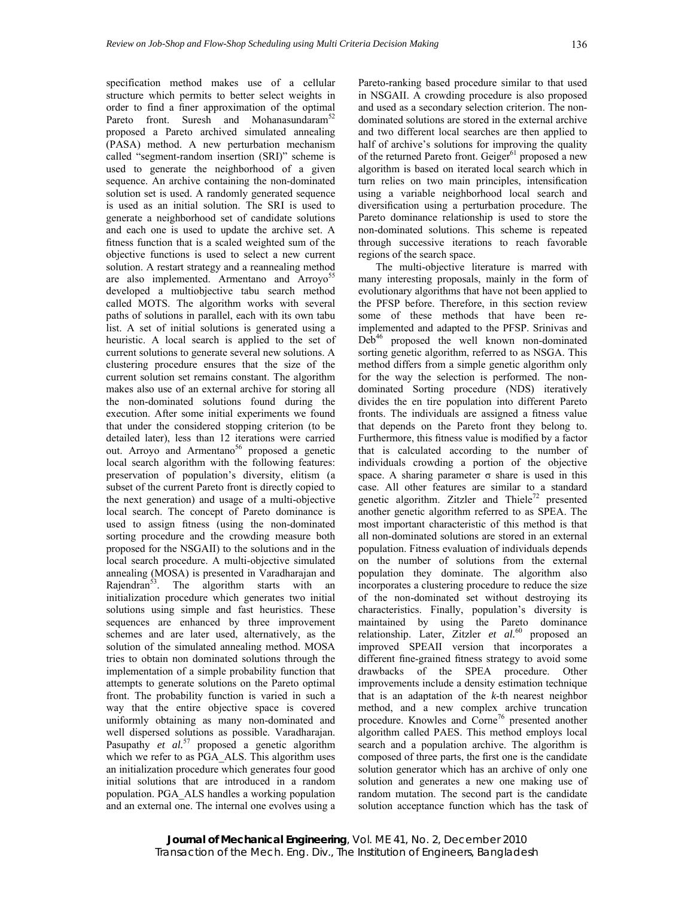specification method makes use of a cellular structure which permits to better select weights in order to find a finer approximation of the optimal Pareto front. Suresh and Mohanasundaram<sup>52</sup> proposed a Pareto archived simulated annealing (PASA) method. A new perturbation mechanism called "segment-random insertion (SRI)" scheme is used to generate the neighborhood of a given sequence. An archive containing the non-dominated solution set is used. A randomly generated sequence is used as an initial solution. The SRI is used to generate a neighborhood set of candidate solutions and each one is used to update the archive set. A fitness function that is a scaled weighted sum of the objective functions is used to select a new current solution. A restart strategy and a reannealing method are also implemented. Armentano and Arroyo<sup>55</sup> developed a multiobjective tabu search method called MOTS. The algorithm works with several paths of solutions in parallel, each with its own tabu list. A set of initial solutions is generated using a heuristic. A local search is applied to the set of current solutions to generate several new solutions. A clustering procedure ensures that the size of the current solution set remains constant. The algorithm makes also use of an external archive for storing all the non-dominated solutions found during the execution. After some initial experiments we found that under the considered stopping criterion (to be detailed later), less than 12 iterations were carried out. Arroyo and Armentano<sup>56</sup> proposed a genetic local search algorithm with the following features: preservation of population's diversity, elitism (a subset of the current Pareto front is directly copied to the next generation) and usage of a multi-objective local search. The concept of Pareto dominance is used to assign fitness (using the non-dominated sorting procedure and the crowding measure both proposed for the NSGAII) to the solutions and in the local search procedure. A multi-objective simulated annealing (MOSA) is presented in Varadharajan and Rajendran<sup>53</sup>. The algorithm starts with an initialization procedure which generates two initial solutions using simple and fast heuristics. These sequences are enhanced by three improvement schemes and are later used, alternatively, as the solution of the simulated annealing method. MOSA tries to obtain non dominated solutions through the implementation of a simple probability function that attempts to generate solutions on the Pareto optimal front. The probability function is varied in such a way that the entire objective space is covered uniformly obtaining as many non-dominated and well dispersed solutions as possible. Varadharajan. Pasupathy *et al.*<sup>57</sup> proposed a genetic algorithm which we refer to as PGA\_ALS. This algorithm uses an initialization procedure which generates four good initial solutions that are introduced in a random population. PGA\_ALS handles a working population and an external one. The internal one evolves using a Pareto-ranking based procedure similar to that used in NSGAII. A crowding procedure is also proposed and used as a secondary selection criterion. The nondominated solutions are stored in the external archive and two different local searches are then applied to half of archive's solutions for improving the quality of the returned Pareto front. Geiger<sup>61</sup> proposed a new algorithm is based on iterated local search which in turn relies on two main principles, intensification using a variable neighborhood local search and diversification using a perturbation procedure. The Pareto dominance relationship is used to store the non-dominated solutions. This scheme is repeated through successive iterations to reach favorable regions of the search space.

The multi-objective literature is marred with many interesting proposals, mainly in the form of evolutionary algorithms that have not been applied to the PFSP before. Therefore, in this section review some of these methods that have been reimplemented and adapted to the PFSP. Srinivas and Deb<sup>46</sup> proposed the well known non-dominated sorting genetic algorithm, referred to as NSGA. This method differs from a simple genetic algorithm only for the way the selection is performed. The nondominated Sorting procedure (NDS) iteratively divides the en tire population into different Pareto fronts. The individuals are assigned a fitness value that depends on the Pareto front they belong to. Furthermore, this fitness value is modified by a factor that is calculated according to the number of individuals crowding a portion of the objective space. A sharing parameter  $\sigma$  share is used in this case. All other features are similar to a standard genetic algorithm. Zitzler and Thiele<sup>72</sup> presented another genetic algorithm referred to as SPEA. The most important characteristic of this method is that all non-dominated solutions are stored in an external population. Fitness evaluation of individuals depends on the number of solutions from the external population they dominate. The algorithm also incorporates a clustering procedure to reduce the size of the non-dominated set without destroying its characteristics. Finally, population's diversity is maintained by using the Pareto dominance relationship. Later, Zitzler et al.<sup>60</sup> proposed an improved SPEAII version that incorporates a different fine-grained fitness strategy to avoid some drawbacks of the SPEA procedure. Other improvements include a density estimation technique that is an adaptation of the *k*-th nearest neighbor method, and a new complex archive truncation procedure. Knowles and Corne<sup>76</sup> presented another algorithm called PAES. This method employs local search and a population archive. The algorithm is composed of three parts, the first one is the candidate solution generator which has an archive of only one solution and generates a new one making use of random mutation. The second part is the candidate solution acceptance function which has the task of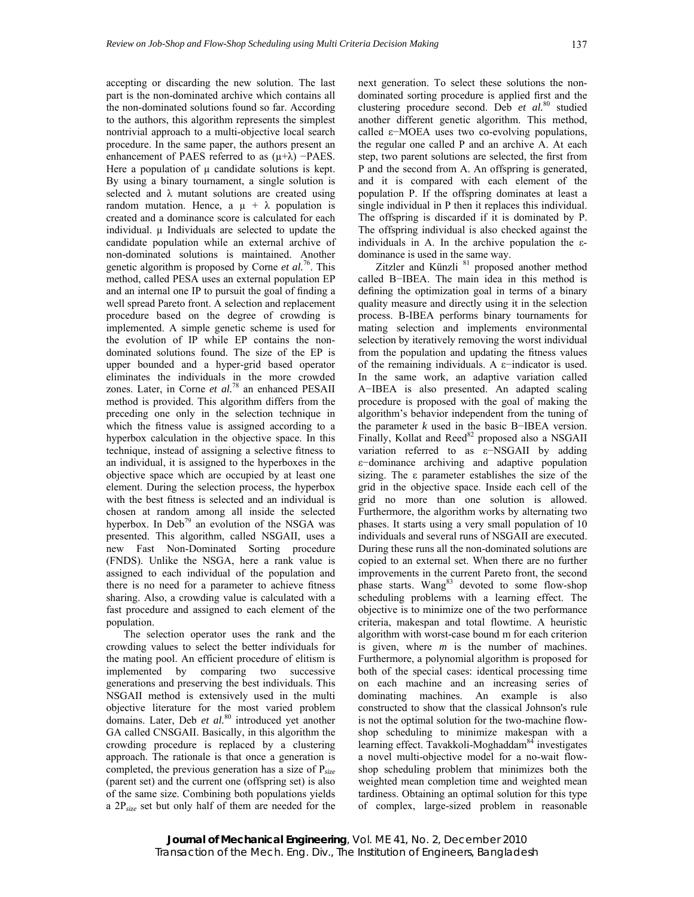accepting or discarding the new solution. The last part is the non-dominated archive which contains all the non-dominated solutions found so far. According to the authors, this algorithm represents the simplest nontrivial approach to a multi-objective local search procedure. In the same paper, the authors present an enhancement of PAES referred to as  $(\mu+\lambda)$  –PAES. Here a population of  $\mu$  candidate solutions is kept. By using a binary tournament, a single solution is selected and  $\lambda$  mutant solutions are created using random mutation. Hence, a  $\mu + \lambda$  population is created and a dominance score is calculated for each individual. µ Individuals are selected to update the candidate population while an external archive of non-dominated solutions is maintained. Another genetic algorithm is proposed by Corne *et al.*76. This method, called PESA uses an external population EP and an internal one IP to pursuit the goal of finding a well spread Pareto front. A selection and replacement procedure based on the degree of crowding is implemented. A simple genetic scheme is used for the evolution of IP while EP contains the nondominated solutions found. The size of the EP is upper bounded and a hyper-grid based operator eliminates the individuals in the more crowded zones. Later, in Corne *et al.*78 an enhanced PESAII method is provided. This algorithm differs from the preceding one only in the selection technique in which the fitness value is assigned according to a hyperbox calculation in the objective space. In this technique, instead of assigning a selective fitness to an individual, it is assigned to the hyperboxes in the objective space which are occupied by at least one element. During the selection process, the hyperbox with the best fitness is selected and an individual is chosen at random among all inside the selected hyperbox. In Deb<sup>79</sup> an evolution of the NSGA was presented. This algorithm, called NSGAII, uses a new Fast Non-Dominated Sorting procedure (FNDS). Unlike the NSGA, here a rank value is assigned to each individual of the population and there is no need for a parameter to achieve fitness sharing. Also, a crowding value is calculated with a fast procedure and assigned to each element of the population.

The selection operator uses the rank and the crowding values to select the better individuals for the mating pool. An efficient procedure of elitism is implemented by comparing two successive generations and preserving the best individuals. This NSGAII method is extensively used in the multi objective literature for the most varied problem domains. Later, Deb et al.<sup>80</sup> introduced yet another GA called CNSGAII. Basically, in this algorithm the crowding procedure is replaced by a clustering approach. The rationale is that once a generation is completed, the previous generation has a size of P*size* (parent set) and the current one (offspring set) is also of the same size. Combining both populations yields a 2P*size* set but only half of them are needed for the next generation. To select these solutions the nondominated sorting procedure is applied first and the clustering procedure second. Deb *et al.*80 studied another different genetic algorithm. This method, called ε−MOEA uses two co-evolving populations, the regular one called P and an archive A. At each step, two parent solutions are selected, the first from P and the second from A. An offspring is generated, and it is compared with each element of the population P. If the offspring dominates at least a single individual in P then it replaces this individual. The offspring is discarded if it is dominated by P. The offspring individual is also checked against the individuals in A. In the archive population the  $\varepsilon$ dominance is used in the same way.

Zitzler and Künzli<sup>81</sup> proposed another method called B−IBEA. The main idea in this method is defining the optimization goal in terms of a binary quality measure and directly using it in the selection process. B-IBEA performs binary tournaments for mating selection and implements environmental selection by iteratively removing the worst individual from the population and updating the fitness values of the remaining individuals. A ε−indicator is used. In the same work, an adaptive variation called A−IBEA is also presented. An adapted scaling procedure is proposed with the goal of making the algorithm's behavior independent from the tuning of the parameter *k* used in the basic B−IBEA version. Finally, Kollat and Reed<sup>82</sup> proposed also a NSGAII variation referred to as ε−NSGAII by adding ε−dominance archiving and adaptive population sizing. The ε parameter establishes the size of the grid in the objective space. Inside each cell of the grid no more than one solution is allowed. Furthermore, the algorithm works by alternating two phases. It starts using a very small population of 10 individuals and several runs of NSGAII are executed. During these runs all the non-dominated solutions are copied to an external set. When there are no further improvements in the current Pareto front, the second phase starts. Wang<sup>83</sup> devoted to some flow-shop scheduling problems with a learning effect. The objective is to minimize one of the two performance criteria, makespan and total flowtime. A heuristic algorithm with worst-case bound m for each criterion is given, where *m* is the number of machines. Furthermore, a polynomial algorithm is proposed for both of the special cases: identical processing time on each machine and an increasing series of dominating machines. An example is also constructed to show that the classical Johnson's rule is not the optimal solution for the two-machine flowshop scheduling to minimize makespan with a learning effect. Tavakkoli-Moghaddam<sup>84</sup> investigates a novel multi-objective model for a no-wait flowshop scheduling problem that minimizes both the weighted mean completion time and weighted mean tardiness. Obtaining an optimal solution for this type of complex, large-sized problem in reasonable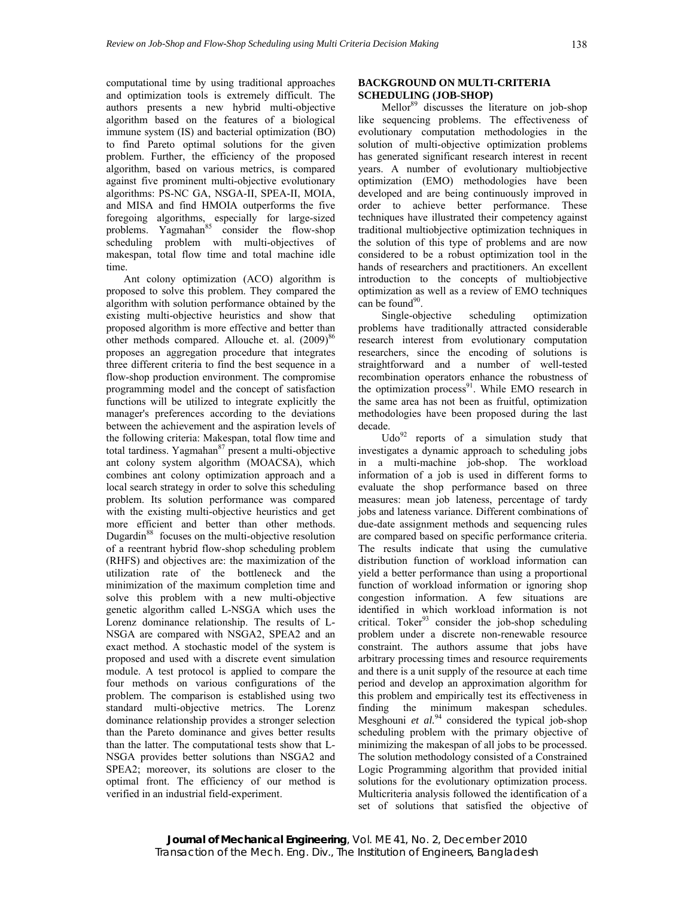computational time by using traditional approaches and optimization tools is extremely difficult. The authors presents a new hybrid multi-objective algorithm based on the features of a biological immune system (IS) and bacterial optimization (BO) to find Pareto optimal solutions for the given problem. Further, the efficiency of the proposed algorithm, based on various metrics, is compared against five prominent multi-objective evolutionary algorithms: PS-NC GA, NSGA-II, SPEA-II, MOIA, and MISA and find HMOIA outperforms the five foregoing algorithms, especially for large-sized problems. Yagmahan $85$  consider the flow-shop scheduling problem with multi-objectives of makespan, total flow time and total machine idle time.

Ant colony optimization (ACO) algorithm is proposed to solve this problem. They compared the algorithm with solution performance obtained by the existing multi-objective heuristics and show that proposed algorithm is more effective and better than other methods compared. Allouche et. al.  $(2009)^{86}$ proposes an aggregation procedure that integrates three different criteria to find the best sequence in a flow-shop production environment. The compromise programming model and the concept of satisfaction functions will be utilized to integrate explicitly the manager's preferences according to the deviations between the achievement and the aspiration levels of the following criteria: Makespan, total flow time and total tardiness. Yagmahan $87$  present a multi-objective ant colony system algorithm (MOACSA), which combines ant colony optimization approach and a local search strategy in order to solve this scheduling problem. Its solution performance was compared with the existing multi-objective heuristics and get more efficient and better than other methods. Dugardin<sup>88</sup> focuses on the multi-objective resolution of a reentrant hybrid flow-shop scheduling problem (RHFS) and objectives are: the maximization of the utilization rate of the bottleneck and the minimization of the maximum completion time and solve this problem with a new multi-objective genetic algorithm called L-NSGA which uses the Lorenz dominance relationship. The results of L-NSGA are compared with NSGA2, SPEA2 and an exact method. A stochastic model of the system is proposed and used with a discrete event simulation module. A test protocol is applied to compare the four methods on various configurations of the problem. The comparison is established using two standard multi-objective metrics. The Lorenz dominance relationship provides a stronger selection than the Pareto dominance and gives better results than the latter. The computational tests show that L-NSGA provides better solutions than NSGA2 and SPEA2; moreover, its solutions are closer to the optimal front. The efficiency of our method is verified in an industrial field-experiment.

# **BACKGROUND ON MULTI-CRITERIA SCHEDULING (JOB-SHOP)**

Mellor<sup>89</sup> discusses the literature on job-shop like sequencing problems. The effectiveness of evolutionary computation methodologies in the solution of multi-objective optimization problems has generated significant research interest in recent years. A number of evolutionary multiobjective optimization (EMO) methodologies have been developed and are being continuously improved in order to achieve better performance. These techniques have illustrated their competency against traditional multiobjective optimization techniques in the solution of this type of problems and are now considered to be a robust optimization tool in the hands of researchers and practitioners. An excellent introduction to the concepts of multiobjective optimization as well as a review of EMO techniques can be found<sup>90</sup>.

Single-objective scheduling optimization problems have traditionally attracted considerable research interest from evolutionary computation researchers, since the encoding of solutions is straightforward and a number of well-tested recombination operators enhance the robustness of the optimization process $91$ . While EMO research in the same area has not been as fruitful, optimization methodologies have been proposed during the last decade.

 $U \text{d}o^{92}$  reports of a simulation study that investigates a dynamic approach to scheduling jobs in a multi-machine job-shop. The workload information of a job is used in different forms to evaluate the shop performance based on three measures: mean job lateness, percentage of tardy jobs and lateness variance. Different combinations of due-date assignment methods and sequencing rules are compared based on specific performance criteria. The results indicate that using the cumulative distribution function of workload information can yield a better performance than using a proportional function of workload information or ignoring shop congestion information. A few situations are identified in which workload information is not critical. Toker<sup>93</sup> consider the job-shop scheduling problem under a discrete non-renewable resource constraint. The authors assume that jobs have arbitrary processing times and resource requirements and there is a unit supply of the resource at each time period and develop an approximation algorithm for this problem and empirically test its effectiveness in finding the minimum makespan schedules. Mesghouni *et al.*<sup>94</sup> considered the typical job-shop scheduling problem with the primary objective of minimizing the makespan of all jobs to be processed. The solution methodology consisted of a Constrained Logic Programming algorithm that provided initial solutions for the evolutionary optimization process. Multicriteria analysis followed the identification of a set of solutions that satisfied the objective of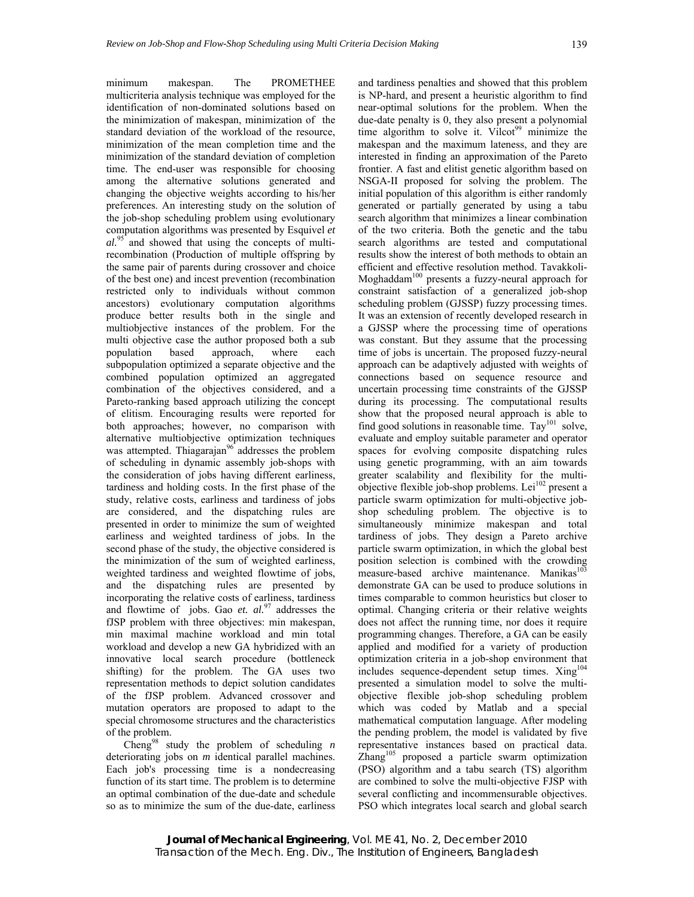minimum makespan. The PROMETHEE multicriteria analysis technique was employed for the identification of non-dominated solutions based on the minimization of makespan, minimization of the standard deviation of the workload of the resource, minimization of the mean completion time and the minimization of the standard deviation of completion time. The end-user was responsible for choosing among the alternative solutions generated and changing the objective weights according to his/her preferences. An interesting study on the solution of the job-shop scheduling problem using evolutionary computation algorithms was presented by Esquivel *et al.*95 and showed that using the concepts of multirecombination (Production of multiple offspring by the same pair of parents during crossover and choice of the best one) and incest prevention (recombination restricted only to individuals without common ancestors) evolutionary computation algorithms produce better results both in the single and multiobjective instances of the problem. For the multi objective case the author proposed both a sub population based approach, where each subpopulation optimized a separate objective and the combined population optimized an aggregated combination of the objectives considered, and a Pareto-ranking based approach utilizing the concept of elitism. Encouraging results were reported for both approaches; however, no comparison with alternative multiobjective optimization techniques was attempted. Thiagarajan $96$  addresses the problem of scheduling in dynamic assembly job-shops with the consideration of jobs having different earliness, tardiness and holding costs. In the first phase of the study, relative costs, earliness and tardiness of jobs are considered, and the dispatching rules are presented in order to minimize the sum of weighted earliness and weighted tardiness of jobs. In the second phase of the study, the objective considered is the minimization of the sum of weighted earliness, weighted tardiness and weighted flowtime of jobs, and the dispatching rules are presented by incorporating the relative costs of earliness, tardiness and flowtime of jobs. Gao *et. al.*97 addresses the fJSP problem with three objectives: min makespan, min maximal machine workload and min total workload and develop a new GA hybridized with an innovative local search procedure (bottleneck shifting) for the problem. The GA uses two representation methods to depict solution candidates of the fJSP problem. Advanced crossover and mutation operators are proposed to adapt to the special chromosome structures and the characteristics of the problem.

Cheng<sup>98</sup> study the problem of scheduling *n* deteriorating jobs on *m* identical parallel machines. Each job's processing time is a nondecreasing function of its start time. The problem is to determine an optimal combination of the due-date and schedule so as to minimize the sum of the due-date, earliness and tardiness penalties and showed that this problem is NP-hard, and present a heuristic algorithm to find near-optimal solutions for the problem. When the due-date penalty is 0, they also present a polynomial time algorithm to solve it. Vilcot $99$  minimize the makespan and the maximum lateness, and they are interested in finding an approximation of the Pareto frontier. A fast and elitist genetic algorithm based on NSGA-II proposed for solving the problem. The initial population of this algorithm is either randomly generated or partially generated by using a tabu search algorithm that minimizes a linear combination of the two criteria. Both the genetic and the tabu search algorithms are tested and computational results show the interest of both methods to obtain an efficient and effective resolution method. Tavakkoli-Moghaddam100 presents a fuzzy-neural approach for constraint satisfaction of a generalized job-shop scheduling problem (GJSSP) fuzzy processing times. It was an extension of recently developed research in a GJSSP where the processing time of operations was constant. But they assume that the processing time of jobs is uncertain. The proposed fuzzy-neural approach can be adaptively adjusted with weights of connections based on sequence resource and uncertain processing time constraints of the GJSSP during its processing. The computational results show that the proposed neural approach is able to find good solutions in reasonable time.  $\text{Taylor}_{\text{av}}$  solve, evaluate and employ suitable parameter and operator spaces for evolving composite dispatching rules using genetic programming, with an aim towards greater scalability and flexibility for the multiobjective flexible job-shop problems. Lei $^{102}$  present a particle swarm optimization for multi-objective jobshop scheduling problem. The objective is to simultaneously minimize makespan and total tardiness of jobs. They design a Pareto archive particle swarm optimization, in which the global best position selection is combined with the crowding measure-based archive maintenance. Manikas<sup>103</sup> demonstrate GA can be used to produce solutions in times comparable to common heuristics but closer to optimal. Changing criteria or their relative weights does not affect the running time, nor does it require programming changes. Therefore, a GA can be easily applied and modified for a variety of production optimization criteria in a job-shop environment that includes sequence-dependent setup times.  $\text{Xing}^{104}$ presented a simulation model to solve the multiobjective flexible job-shop scheduling problem which was coded by Matlab and a special mathematical computation language. After modeling the pending problem, the model is validated by five representative instances based on practical data.  $Zhang<sup>105</sup>$  proposed a particle swarm optimization (PSO) algorithm and a tabu search (TS) algorithm are combined to solve the multi-objective FJSP with several conflicting and incommensurable objectives. PSO which integrates local search and global search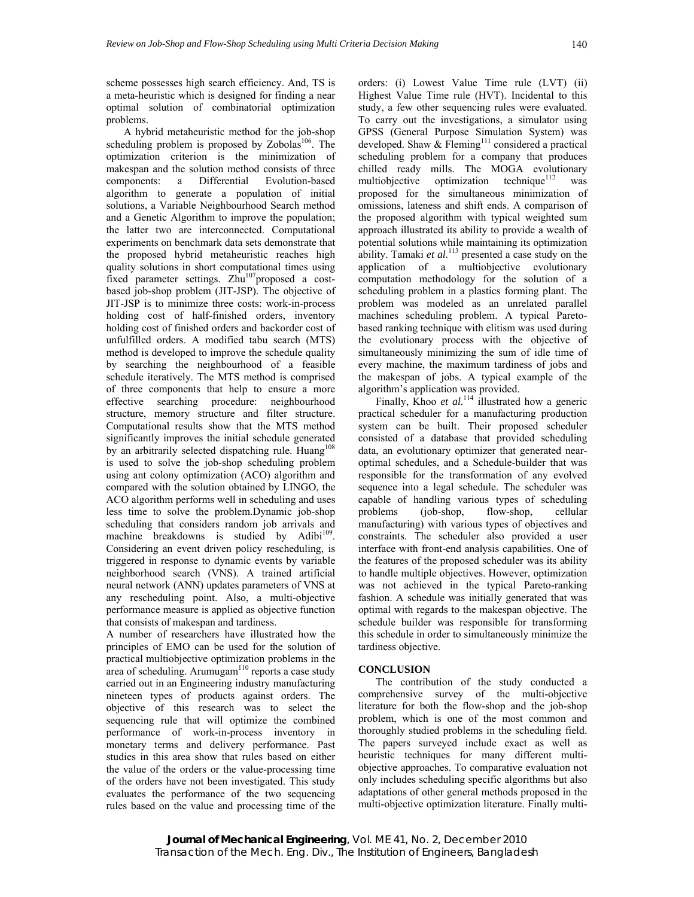scheme possesses high search efficiency. And, TS is a meta-heuristic which is designed for finding a near optimal solution of combinatorial optimization problems.

A hybrid metaheuristic method for the job-shop scheduling problem is proposed by Zobolas $106$ . The optimization criterion is the minimization of makespan and the solution method consists of three components: a Differential Evolution-based algorithm to generate a population of initial solutions, a Variable Neighbourhood Search method and a Genetic Algorithm to improve the population; the latter two are interconnected. Computational experiments on benchmark data sets demonstrate that the proposed hybrid metaheuristic reaches high quality solutions in short computational times using fixed parameter settings. Zhu $107$ proposed a costbased job-shop problem (JIT-JSP). The objective of JIT-JSP is to minimize three costs: work-in-process holding cost of half-finished orders, inventory holding cost of finished orders and backorder cost of unfulfilled orders. A modified tabu search (MTS) method is developed to improve the schedule quality by searching the neighbourhood of a feasible schedule iteratively. The MTS method is comprised of three components that help to ensure a more effective searching procedure: neighbourhood structure, memory structure and filter structure. Computational results show that the MTS method significantly improves the initial schedule generated by an arbitrarily selected dispatching rule. Huang<sup>108</sup> is used to solve the job-shop scheduling problem using ant colony optimization (ACO) algorithm and compared with the solution obtained by LINGO, the ACO algorithm performs well in scheduling and uses less time to solve the problem.Dynamic job-shop scheduling that considers random job arrivals and machine breakdowns is studied by Adibi<sup>109</sup>. Considering an event driven policy rescheduling, is triggered in response to dynamic events by variable neighborhood search (VNS). A trained artificial neural network (ANN) updates parameters of VNS at any rescheduling point. Also, a multi-objective performance measure is applied as objective function that consists of makespan and tardiness.

A number of researchers have illustrated how the principles of EMO can be used for the solution of practical multiobjective optimization problems in the area of scheduling. Arumugam $110$  reports a case study carried out in an Engineering industry manufacturing nineteen types of products against orders. The objective of this research was to select the sequencing rule that will optimize the combined performance of work-in-process inventory in monetary terms and delivery performance. Past studies in this area show that rules based on either the value of the orders or the value-processing time of the orders have not been investigated. This study evaluates the performance of the two sequencing rules based on the value and processing time of the orders: (i) Lowest Value Time rule (LVT) (ii) Highest Value Time rule (HVT). Incidental to this study, a few other sequencing rules were evaluated. To carry out the investigations, a simulator using GPSS (General Purpose Simulation System) was developed. Shaw  $&$  Fleming<sup>111</sup> considered a practical scheduling problem for a company that produces chilled ready mills. The MOGA evolutionary multiobjective optimization technique<sup>112</sup> was proposed for the simultaneous minimization of omissions, lateness and shift ends. A comparison of the proposed algorithm with typical weighted sum approach illustrated its ability to provide a wealth of potential solutions while maintaining its optimization ability. Tamaki *et al.*113 presented a case study on the application of a multiobjective evolutionary computation methodology for the solution of a scheduling problem in a plastics forming plant. The problem was modeled as an unrelated parallel machines scheduling problem. A typical Paretobased ranking technique with elitism was used during the evolutionary process with the objective of simultaneously minimizing the sum of idle time of every machine, the maximum tardiness of jobs and the makespan of jobs. A typical example of the algorithm's application was provided.

Finally, Khoo *et al.*<sup>114</sup> illustrated how a generic practical scheduler for a manufacturing production system can be built. Their proposed scheduler consisted of a database that provided scheduling data, an evolutionary optimizer that generated nearoptimal schedules, and a Schedule-builder that was responsible for the transformation of any evolved sequence into a legal schedule. The scheduler was capable of handling various types of scheduling problems (job-shop, flow-shop, cellular manufacturing) with various types of objectives and constraints. The scheduler also provided a user interface with front-end analysis capabilities. One of the features of the proposed scheduler was its ability to handle multiple objectives. However, optimization was not achieved in the typical Pareto-ranking fashion. A schedule was initially generated that was optimal with regards to the makespan objective. The schedule builder was responsible for transforming this schedule in order to simultaneously minimize the tardiness objective.

### **CONCLUSION**

The contribution of the study conducted a comprehensive survey of the multi-objective literature for both the flow-shop and the job-shop problem, which is one of the most common and thoroughly studied problems in the scheduling field. The papers surveyed include exact as well as heuristic techniques for many different multiobjective approaches. To comparative evaluation not only includes scheduling specific algorithms but also adaptations of other general methods proposed in the multi-objective optimization literature. Finally multi-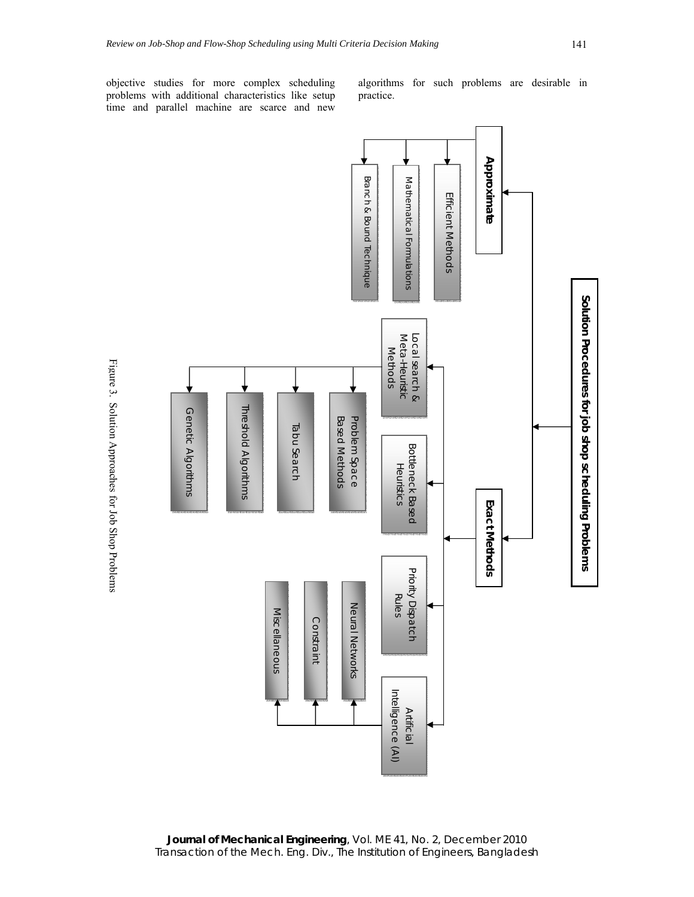objective studies for more complex scheduling problems with additional characteristics like setup time and parallel machine are scarce and new

Figure 3. Solution Approaches for Job Shop Problems

Figure 3. Solution Approaches for Job Shop Problems

algorithms for such problems are desirable in practice.

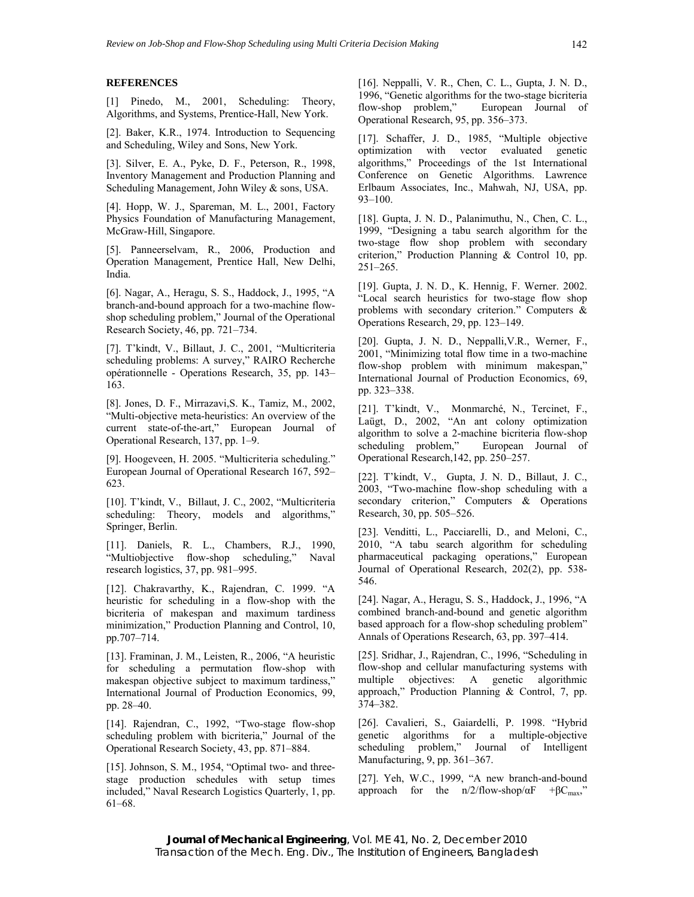### **REFERENCES**

[1] Pinedo, M., 2001, Scheduling: Theory, Algorithms, and Systems, Prentice-Hall, New York.

[2]. Baker, K.R., 1974. Introduction to Sequencing and Scheduling, Wiley and Sons, New York.

[3]. Silver, E. A., Pyke, D. F., Peterson, R., 1998, Inventory Management and Production Planning and Scheduling Management*,* John Wiley & sons, USA.

[4]. Hopp, W. J., Spareman, M. L., 2001, Factory Physics Foundation of Manufacturing Management, McGraw-Hill, Singapore.

[5]. Panneerselvam, R., 2006, Production and Operation Management*,* Prentice Hall, New Delhi, India.

[6]. Nagar, A., Heragu, S. S., Haddock, J., 1995, "A branch-and-bound approach for a two-machine flowshop scheduling problem," Journal of the Operational Research Society, 46, pp. 721–734.

[7]. T'kindt, V., Billaut, J. C., 2001, "Multicriteria scheduling problems: A survey," RAIRO Recherche opérationnelle - Operations Research, 35, pp. 143– 163.

[8]. Jones, D. F., Mirrazavi,S. K., Tamiz, M., 2002, "Multi-objective meta-heuristics: An overview of the current state-of-the-art," European Journal of Operational Research, 137, pp. 1–9.

[9]. Hoogeveen, H. 2005. "Multicriteria scheduling." European Journal of Operational Research 167, 592– 623.

[10]. T'kindt, V., Billaut, J. C., 2002, "Multicriteria scheduling: Theory, models and algorithms," Springer, Berlin.

[11]. Daniels, R. L., Chambers, R.J., 1990, "Multiobjective flow-shop scheduling," Naval research logistics, 37, pp. 981–995.

[12]. Chakravarthy, K., Rajendran, C. 1999. "A heuristic for scheduling in a flow-shop with the bicriteria of makespan and maximum tardiness minimization," Production Planning and Control, 10, pp.707–714.

[13]. Framinan, J. M., Leisten, R., 2006, "A heuristic for scheduling a permutation flow-shop with makespan objective subject to maximum tardiness," International Journal of Production Economics, 99, pp. 28–40.

[14]. Rajendran, C., 1992, "Two-stage flow-shop scheduling problem with bicriteria," Journal of the Operational Research Society, 43, pp. 871–884.

[15]. Johnson, S. M., 1954, "Optimal two- and threestage production schedules with setup times included," Naval Research Logistics Quarterly, 1, pp. 61–68.

[16]. Neppalli, V. R., Chen, C. L., Gupta, J. N. D., 1996, "Genetic algorithms for the two-stage bicriteria flow-shop problem," European Journal of Operational Research, 95, pp. 356–373.

[17]. Schaffer, J. D., 1985, "Multiple objective optimization with vector evaluated genetic algorithms," Proceedings of the 1st International Conference on Genetic Algorithms. Lawrence Erlbaum Associates, Inc., Mahwah, NJ, USA, pp. 93–100.

[18]. Gupta, J. N. D., Palanimuthu, N., Chen, C. L., 1999, "Designing a tabu search algorithm for the two-stage flow shop problem with secondary criterion," Production Planning & Control 10, pp. 251–265.

[19]. Gupta, J. N. D., K. Hennig, F. Werner. 2002. "Local search heuristics for two-stage flow shop problems with secondary criterion." Computers & Operations Research, 29, pp. 123–149.

[20]. Gupta, J. N. D., Neppalli,V.R., Werner, F., 2001, "Minimizing total flow time in a two-machine flow-shop problem with minimum makespan," International Journal of Production Economics, 69, pp. 323–338.

[21]. T'kindt, V., Monmarché, N., Tercinet, F., Laügt, D., 2002, "An ant colony optimization algorithm to solve a 2-machine bicriteria flow-shop scheduling problem," European Journal of Operational Research,142, pp. 250–257.

[22]. T'kindt, V., Gupta, J. N. D., Billaut, J. C., 2003, "Two-machine flow-shop scheduling with a secondary criterion," Computers & Operations Research, 30, pp. 505–526.

[23]. Venditti, L., Pacciarelli, D., and Meloni, C., 2010, "A tabu search algorithm for scheduling pharmaceutical packaging operations," European Journal of Operational Research, 202(2), pp. 538- 546.

[24]. Nagar, A., Heragu, S. S., Haddock, J., 1996, "A combined branch-and-bound and genetic algorithm based approach for a flow-shop scheduling problem" Annals of Operations Research, 63, pp. 397–414.

[25]. Sridhar, J., Rajendran, C., 1996, "Scheduling in flow-shop and cellular manufacturing systems with multiple objectives: A genetic algorithmic approach," Production Planning & Control, 7, pp. 374–382.

[26]. Cavalieri, S., Gaiardelli, P. 1998. "Hybrid genetic algorithms for a multiple-objective scheduling problem," Journal of Intelligent Manufacturing, 9, pp. 361–367.

[27]. Yeh, W.C., 1999, "A new branch-and-bound approach for the  $n/2/flow-shop/\alpha F$  + $\beta C_{max}$ ,"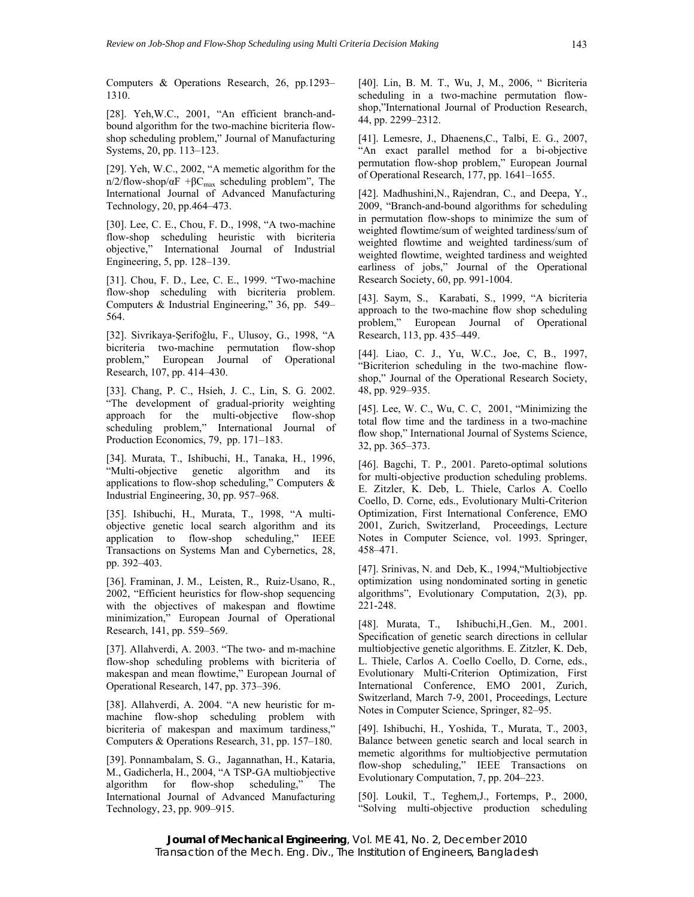Computers & Operations Research, 26, pp.1293– 1310.

[28]. Yeh,W.C., 2001, "An efficient branch-andbound algorithm for the two-machine bicriteria flowshop scheduling problem," Journal of Manufacturing Systems, 20, pp. 113–123.

[29]. Yeh, W.C., 2002, "A memetic algorithm for the n/2/flow-shop/ $\alpha$ F +βC<sub>max</sub> scheduling problem", The International Journal of Advanced Manufacturing Technology, 20, pp.464–473.

[30]. Lee, C. E., Chou, F. D., 1998, "A two-machine flow-shop scheduling heuristic with bicriteria objective," International Journal of Industrial Engineering, 5, pp. 128–139.

[31]. Chou, F. D., Lee, C. E., 1999. "Two-machine flow-shop scheduling with bicriteria problem. Computers & Industrial Engineering," 36, pp. 549– 564.

[32]. Sivrikaya-Şerifoğlu, F., Ulusoy, G., 1998, "A bicriteria two-machine permutation flow-shop problem," European Journal of Operational Research, 107, pp. 414–430.

[33]. Chang, P. C., Hsieh, J. C., Lin, S. G. 2002. "The development of gradual-priority weighting approach for the multi-objective flow-shop scheduling problem," International Journal of Production Economics, 79, pp. 171–183.

[34]. Murata, T., Ishibuchi, H., Tanaka, H., 1996, "Multi-objective genetic algorithm and its applications to flow-shop scheduling," Computers & Industrial Engineering, 30, pp. 957–968.

[35]. Ishibuchi, H., Murata, T., 1998, "A multiobjective genetic local search algorithm and its application to flow-shop scheduling," IEEE Transactions on Systems Man and Cybernetics, 28, pp. 392–403.

[36]. Framinan, J. M., Leisten, R., Ruiz-Usano, R., 2002, "Efficient heuristics for flow-shop sequencing with the objectives of makespan and flowtime minimization," European Journal of Operational Research, 141, pp. 559–569.

[37]. Allahverdi, A. 2003. "The two- and m-machine flow-shop scheduling problems with bicriteria of makespan and mean flowtime," European Journal of Operational Research, 147, pp. 373–396.

[38]. Allahverdi, A. 2004. "A new heuristic for mmachine flow-shop scheduling problem with bicriteria of makespan and maximum tardiness," Computers & Operations Research, 31, pp. 157–180.

[39]. Ponnambalam, S. G., Jagannathan, H., Kataria, M., Gadicherla, H., 2004, "A TSP-GA multiobjective algorithm for flow-shop scheduling," The International Journal of Advanced Manufacturing Technology, 23, pp. 909–915.

[40]. Lin, B. M. T., Wu, J, M., 2006, " Bicriteria scheduling in a two-machine permutation flowshop,"International Journal of Production Research, 44, pp. 2299–2312.

[41]. Lemesre, J., Dhaenens,C., Talbi, E. G., 2007, "An exact parallel method for a bi-objective permutation flow-shop problem," European Journal of Operational Research, 177, pp. 1641–1655.

[42]. Madhushini,N., Rajendran, C., and Deepa, Y., 2009, "Branch-and-bound algorithms for scheduling in permutation flow-shops to minimize the sum of weighted flowtime/sum of weighted tardiness/sum of weighted flowtime and weighted tardiness/sum of weighted flowtime, weighted tardiness and weighted earliness of jobs," Journal of the Operational Research Society, 60, pp. 991-1004.

[43]. Saym, S., Karabati, S., 1999, "A bicriteria approach to the two-machine flow shop scheduling problem," European Journal of Operational Research, 113, pp. 435–449.

[44]. Liao, C. J., Yu, W.C., Joe, C, B., 1997, "Bicriterion scheduling in the two-machine flowshop," Journal of the Operational Research Society, 48, pp. 929–935.

[45]. Lee, W. C., Wu, C. C. 2001, "Minimizing the total flow time and the tardiness in a two-machine flow shop," International Journal of Systems Science, 32, pp. 365–373.

[46]. Bagchi, T. P., 2001. Pareto-optimal solutions for multi-objective production scheduling problems. E. Zitzler, K. Deb, L. Thiele, Carlos A. Coello Coello, D. Corne, eds., Evolutionary Multi-Criterion Optimization, First International Conference, EMO 2001, Zurich, Switzerland, Proceedings, Lecture Notes in Computer Science, vol. 1993. Springer, 458–471.

[47]. Srinivas, N. and Deb, K., 1994,"Multiobjective optimization using nondominated sorting in genetic algorithms", Evolutionary Computation, 2(3), pp. 221-248.

[48]. Murata, T., Ishibuchi,H.,Gen. M., 2001. Specification of genetic search directions in cellular multiobjective genetic algorithms. E. Zitzler, K. Deb, L. Thiele, Carlos A. Coello Coello, D. Corne, eds., Evolutionary Multi-Criterion Optimization, First International Conference, EMO 2001, Zurich, Switzerland, March 7-9, 2001, Proceedings, Lecture Notes in Computer Science, Springer, 82–95.

[49]. Ishibuchi, H., Yoshida, T., Murata, T., 2003, Balance between genetic search and local search in memetic algorithms for multiobjective permutation flow-shop scheduling," IEEE Transactions on Evolutionary Computation, 7, pp. 204–223.

[50]. Loukil, T., Teghem,J., Fortemps, P., 2000, "Solving multi-objective production scheduling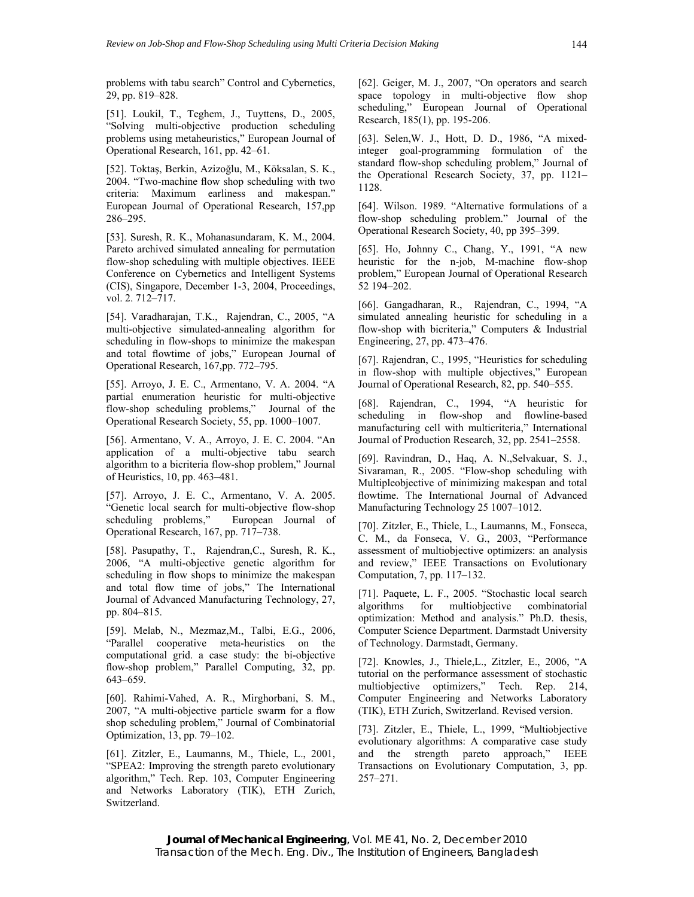problems with tabu search" Control and Cybernetics, 29, pp. 819–828.

[51]. Loukil, T., Teghem, J., Tuyttens, D., 2005, "Solving multi-objective production scheduling problems using metaheuristics," European Journal of Operational Research, 161, pp. 42–61.

[52]. Toktaş, Berkin, Azizoğlu, M., Köksalan, S. K., 2004. "Two-machine flow shop scheduling with two criteria: Maximum earliness and makespan." European Journal of Operational Research, 157,pp 286–295.

[53]. Suresh, R. K., Mohanasundaram, K. M., 2004. Pareto archived simulated annealing for permutation flow-shop scheduling with multiple objectives. IEEE Conference on Cybernetics and Intelligent Systems (CIS), Singapore, December 1-3, 2004, Proceedings, vol. 2. 712–717.

[54]. Varadharajan, T.K., Rajendran, C., 2005, "A multi-objective simulated-annealing algorithm for scheduling in flow-shops to minimize the makespan and total flowtime of jobs," European Journal of Operational Research, 167,pp. 772–795.

[55]. Arroyo, J. E. C., Armentano, V. A. 2004. "A partial enumeration heuristic for multi-objective flow-shop scheduling problems," Journal of the Operational Research Society, 55, pp. 1000–1007.

[56]. Armentano, V. A., Arroyo, J. E. C. 2004. "An application of a multi-objective tabu search algorithm to a bicriteria flow-shop problem," Journal of Heuristics, 10, pp. 463–481.

[57]. Arroyo, J. E. C., Armentano, V. A. 2005. "Genetic local search for multi-objective flow-shop scheduling problems," European Journal of Operational Research, 167, pp. 717–738.

[58]. Pasupathy, T., Rajendran,C., Suresh, R. K., 2006, "A multi-objective genetic algorithm for scheduling in flow shops to minimize the makespan and total flow time of jobs," The International Journal of Advanced Manufacturing Technology, 27, pp. 804–815.

[59]. Melab, N., Mezmaz,M., Talbi, E.G., 2006, "Parallel cooperative meta-heuristics on the computational grid. a case study: the bi-objective flow-shop problem," Parallel Computing, 32, pp. 643–659.

[60]. Rahimi-Vahed, A. R., Mirghorbani, S. M., 2007, "A multi-objective particle swarm for a flow shop scheduling problem," Journal of Combinatorial Optimization, 13, pp. 79–102.

[61]. Zitzler, E., Laumanns, M., Thiele, L., 2001, "SPEA2: Improving the strength pareto evolutionary algorithm," Tech. Rep. 103, Computer Engineering and Networks Laboratory (TIK), ETH Zurich, Switzerland.

[62]. Geiger, M. J., 2007, "On operators and search space topology in multi-objective flow shop scheduling," European Journal of Operational Research, 185(1), pp. 195-206.

[63]. Selen,W. J., Hott, D. D., 1986, "A mixedinteger goal-programming formulation of the standard flow-shop scheduling problem," Journal of the Operational Research Society, 37, pp. 1121– 1128.

[64]. Wilson. 1989. "Alternative formulations of a flow-shop scheduling problem." Journal of the Operational Research Society, 40, pp 395–399.

[65]. Ho, Johnny C., Chang, Y., 1991, "A new heuristic for the n-job, M-machine flow-shop problem," European Journal of Operational Research 52 194–202.

[66]. Gangadharan, R., Rajendran, C., 1994, "A simulated annealing heuristic for scheduling in a flow-shop with bicriteria," Computers & Industrial Engineering, 27, pp. 473–476.

[67]. Rajendran, C., 1995, "Heuristics for scheduling in flow-shop with multiple objectives," European Journal of Operational Research, 82, pp. 540–555.

[68]. Rajendran, C., 1994, "A heuristic for scheduling in flow-shop and flowline-based manufacturing cell with multicriteria," International Journal of Production Research, 32, pp. 2541–2558.

[69]. Ravindran, D., Haq, A. N.,Selvakuar, S. J., Sivaraman, R., 2005. "Flow-shop scheduling with Multipleobjective of minimizing makespan and total flowtime. The International Journal of Advanced Manufacturing Technology 25 1007–1012.

[70]. Zitzler, E., Thiele, L., Laumanns, M., Fonseca, C. M., da Fonseca, V. G., 2003, "Performance assessment of multiobjective optimizers: an analysis and review," IEEE Transactions on Evolutionary Computation, 7, pp. 117–132.

[71]. Paquete, L. F., 2005. "Stochastic local search algorithms for multiobjective combinatorial optimization: Method and analysis." Ph.D. thesis, Computer Science Department. Darmstadt University of Technology. Darmstadt, Germany.

[72]. Knowles, J., Thiele,L., Zitzler, E., 2006, "A tutorial on the performance assessment of stochastic multiobjective optimizers," Tech. Rep. 214, Computer Engineering and Networks Laboratory (TIK), ETH Zurich, Switzerland. Revised version.

[73]. Zitzler, E., Thiele, L., 1999, "Multiobjective evolutionary algorithms: A comparative case study and the strength pareto approach," IEEE Transactions on Evolutionary Computation, 3, pp. 257–271.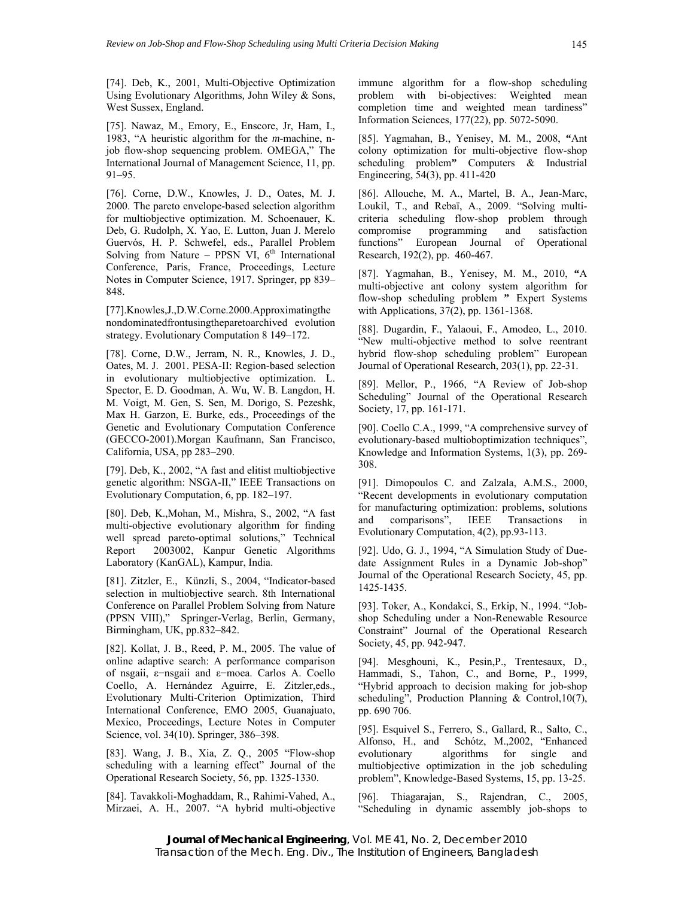[74]. Deb, K., 2001, Multi-Objective Optimization Using Evolutionary Algorithms*,* John Wiley & Sons, West Sussex, England.

[75]. Nawaz, M., Emory, E., Enscore, Jr, Ham, I., 1983, "A heuristic algorithm for the *m*-machine, njob flow-shop sequencing problem. OMEGA," The International Journal of Management Science, 11, pp. 91–95.

[76]. Corne, D.W., Knowles, J. D., Oates, M. J. 2000. The pareto envelope-based selection algorithm for multiobjective optimization. M. Schoenauer, K. Deb, G. Rudolph, X. Yao, E. Lutton, Juan J. Merelo Guervós, H. P. Schwefel, eds., Parallel Problem Solving from Nature – PPSN VI,  $6<sup>th</sup>$  International Conference, Paris, France, Proceedings, Lecture Notes in Computer Science, 1917. Springer, pp 839– 848.

[77].Knowles,J.,D.W.Corne.2000.Approximatingthe nondominatedfrontusingtheparetoarchived evolution strategy. Evolutionary Computation 8 149–172.

[78]. Corne, D.W., Jerram, N. R., Knowles, J. D., Oates, M. J. 2001. PESA-II: Region-based selection in evolutionary multiobjective optimization. L. Spector, E. D. Goodman, A. Wu, W. B. Langdon, H. M. Voigt, M. Gen, S. Sen, M. Dorigo, S. Pezeshk, Max H. Garzon, E. Burke, eds., Proceedings of the Genetic and Evolutionary Computation Conference (GECCO-2001).Morgan Kaufmann, San Francisco, California, USA, pp 283–290.

[79]. Deb, K., 2002, "A fast and elitist multiobjective genetic algorithm: NSGA-II," IEEE Transactions on Evolutionary Computation, 6, pp. 182–197.

[80]. Deb, K.,Mohan, M., Mishra, S., 2002, "A fast multi-objective evolutionary algorithm for finding well spread pareto-optimal solutions," Technical Report 2003002, Kanpur Genetic Algorithms Laboratory (KanGAL), Kampur, India.

[81]. Zitzler, E., Künzli, S., 2004, "Indicator-based selection in multiobjective search. 8th International Conference on Parallel Problem Solving from Nature (PPSN VIII)," Springer-Verlag, Berlin, Germany, Birmingham, UK, pp.832–842.

[82]. Kollat, J. B., Reed, P. M., 2005. The value of online adaptive search: A performance comparison of nsgaii, ε−nsgaii and ε−moea. Carlos A. Coello Coello, A. Hernández Aguirre, E. Zitzler,eds., Evolutionary Multi-Criterion Optimization, Third International Conference, EMO 2005, Guanajuato, Mexico, Proceedings, Lecture Notes in Computer Science, vol. 34(10). Springer, 386–398.

[83]. Wang, J. B., Xia, Z. Q., 2005 "Flow-shop scheduling with a learning effect" Journal of the Operational Research Society, 56, pp. 1325-1330.

[84]. Tavakkoli-Moghaddam, R., Rahimi-Vahed, A., Mirzaei, A. H., 2007. "A hybrid multi-objective immune algorithm for a flow-shop scheduling problem with bi-objectives: Weighted mean completion time and weighted mean tardiness" Information Sciences, 177(22), pp. 5072-5090.

[85]. Yagmahan, B., Yenisey, M. M., 2008, **"**Ant colony optimization for multi-objective flow-shop scheduling problem**"** Computers & Industrial Engineering, 54(3), pp. 411-420

[86]. Allouche, M. A., Martel, B. A., Jean-Marc, Loukil, T., and Rebaï, A., 2009. "Solving multicriteria scheduling flow-shop problem through compromise programming and satisfaction functions" European Journal of Operational Research, 192(2), pp. 460-467.

[87]. Yagmahan, B., Yenisey, M. M., 2010, **"**A multi-objective ant colony system algorithm for flow-shop scheduling problem **"** Expert Systems with Applications, 37(2), pp. 1361-1368.

[88]. Dugardin, F., Yalaoui, F., Amodeo, L., 2010. "New multi-objective method to solve reentrant hybrid flow-shop scheduling problem" European Journal of Operational Research, 203(1), pp. 22-31.

[89]. Mellor, P., 1966, "A Review of Job-shop Scheduling" Journal of the Operational Research Society, 17, pp. 161-171.

[90]. Coello C.A., 1999, "A comprehensive survey of evolutionary-based multioboptimization techniques", Knowledge and Information Systems, 1(3), pp. 269- 308.

[91]. Dimopoulos C. and Zalzala, A.M.S., 2000, "Recent developments in evolutionary computation for manufacturing optimization: problems, solutions and comparisons", IEEE Transactions in Evolutionary Computation, 4(2), pp.93-113.

[92]. Udo, G. J., 1994, "A Simulation Study of Duedate Assignment Rules in a Dynamic Job-shop" Journal of the Operational Research Society, 45, pp. 1425-1435.

[93]. Toker, A., Kondakci, S., Erkip, N., 1994. "Jobshop Scheduling under a Non-Renewable Resource Constraint" Journal of the Operational Research Society, 45, pp. 942-947.

[94]. Mesghouni, K., Pesin,P., Trentesaux, D., Hammadi, S., Tahon, C., and Borne, P., 1999, "Hybrid approach to decision making for job-shop scheduling", Production Planning & Control, 10(7), pp. 690 706.

[95]. Esquivel S., Ferrero, S., Gallard, R., Salto, C., Alfonso, H., and Schόtz, M.,2002, "Enhanced evolutionary algorithms for single and multiobjective optimization in the job scheduling problem", Knowledge-Based Systems, 15, pp. 13-25.

[96]. Thiagarajan, S., Rajendran, C., 2005, "Scheduling in dynamic assembly job-shops to